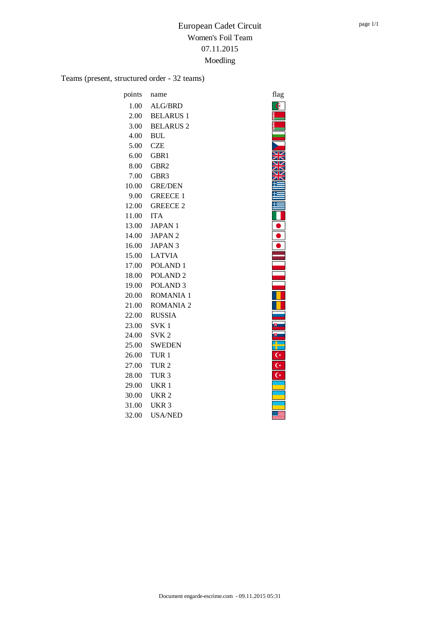Teams (present, structured order - 32 teams)

| points | name                | flag                    |
|--------|---------------------|-------------------------|
| 1.00   | ALG/BRD             | Ġ                       |
| 2.00   | <b>BELARUS 1</b>    |                         |
| 3.00   | <b>BELARUS 2</b>    |                         |
| 4.00   | <b>BUL</b>          |                         |
| 5.00   | <b>CZE</b>          |                         |
| 6.00   | GBR1                |                         |
| 8.00   | GBR <sub>2</sub>    |                         |
| 7.00   | GBR <sub>3</sub>    |                         |
| 10.00  | <b>GRE/DEN</b>      |                         |
| 9.00   | <b>GREECE 1</b>     |                         |
| 12.00  | <b>GREECE 2</b>     |                         |
| 11.00  | <b>ITA</b>          |                         |
| 13.00  | <b>JAPAN1</b>       |                         |
| 14.00  | <b>JAPAN2</b>       |                         |
| 16.00  | <b>JAPAN 3</b>      |                         |
| 15.00  | <b>LATVIA</b>       |                         |
| 17.00  | POLAND <sub>1</sub> |                         |
| 18.00  | POLAND <sub>2</sub> |                         |
| 19.00  | POLAND <sub>3</sub> |                         |
| 20.00  | <b>ROMANIA 1</b>    |                         |
| 21.00  | <b>ROMANIA 2</b>    |                         |
| 22.00  | <b>RUSSIA</b>       |                         |
| 23.00  | SVK <sub>1</sub>    | IJ                      |
| 24.00  | SVK <sub>2</sub>    | 甪                       |
| 25.00  | <b>SWEDEN</b>       |                         |
| 26.00  | TUR <sub>1</sub>    | C*                      |
| 27.00  | TUR <sub>2</sub>    | $\overline{C}$          |
| 28.00  | TUR <sub>3</sub>    | $\overline{\mathsf{C}}$ |
| 29.00  | UKR 1               |                         |
| 30.00  | UKR <sub>2</sub>    |                         |
| 31.00  | UKR <sub>3</sub>    |                         |
| 32.00  | <b>USA/NED</b>      |                         |

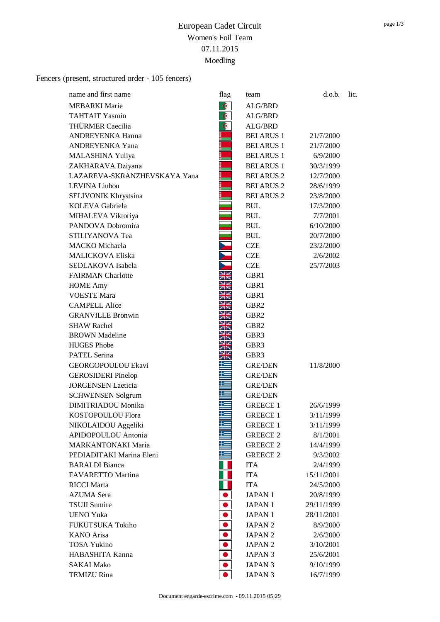Fencers (present, structured order - 105 fencers)

| name and first name          | flag                | team               | d.o.b.     | lic. |
|------------------------------|---------------------|--------------------|------------|------|
| <b>MEBARKI</b> Marie         | $\bullet$           | ALG/BRD            |            |      |
| <b>TAHTAIT Yasmin</b>        | $\bullet$           | ALG/BRD            |            |      |
| THÜRMER Caecilia             | $\bullet$           | ALG/BRD            |            |      |
| ANDREYENKA Hanna             |                     | <b>BELARUS 1</b>   | 21/7/2000  |      |
| <b>ANDREYENKA Yana</b>       |                     | <b>BELARUS 1</b>   | 21/7/2000  |      |
| MALASHINA Yuliya             |                     | <b>BELARUS 1</b>   | 6/9/2000   |      |
| ZAKHARAVA Dziyana            |                     | <b>BELARUS 1</b>   | 30/3/1999  |      |
| LAZAREVA-SKRANZHEVSKAYA Yana |                     | <b>BELARUS 2</b>   | 12/7/2000  |      |
| <b>LEVINA</b> Liubou         |                     | <b>BELARUS 2</b>   | 28/6/1999  |      |
| SELIVONIK Khrystsina         |                     | <b>BELARUS 2</b>   | 23/8/2000  |      |
| KOLEVA Gabriela              |                     | <b>BUL</b>         | 17/3/2000  |      |
| MIHALEVA Viktoriya           |                     | <b>BUL</b>         | 7/7/2001   |      |
| PANDOVA Dobromira            |                     | <b>BUL</b>         | 6/10/2000  |      |
| STILIYANOVA Tea              |                     | <b>BUL</b>         | 20/7/2000  |      |
| <b>MACKO</b> Michaela        |                     | <b>CZE</b>         | 23/2/2000  |      |
| <b>MALICKOVA Eliska</b>      |                     | <b>CZE</b>         | 2/6/2002   |      |
| SEDLAKOVA Isabela            |                     | <b>CZE</b>         | 25/7/2003  |      |
| <b>FAIRMAN</b> Charlotte     | ▧<br>7 <sup>8</sup> | GBR1               |            |      |
| <b>HOME Amy</b>              |                     | GBR1               |            |      |
| <b>VOESTE Mara</b>           |                     | GBR1               |            |      |
| <b>CAMPELL Alice</b>         |                     | GBR <sub>2</sub>   |            |      |
| <b>GRANVILLE Bronwin</b>     |                     | GBR <sub>2</sub>   |            |      |
| <b>SHAW Rachel</b>           |                     | GBR <sub>2</sub>   |            |      |
| <b>BROWN</b> Madeline        |                     | GBR <sub>3</sub>   |            |      |
| <b>HUGES</b> Phobe           |                     | GBR3               |            |      |
| PATEL Serina                 |                     | GBR3               |            |      |
| GEORGOPOULOU Ekavi           |                     | GRE/DEN            | 11/8/2000  |      |
| <b>GEROSIDERI</b> Pinelop    |                     | <b>GRE/DEN</b>     |            |      |
| <b>JORGENSEN Laeticia</b>    |                     | <b>GRE/DEN</b>     |            |      |
| <b>SCHWENSEN Solgrum</b>     |                     | <b>GRE/DEN</b>     |            |      |
| DIMITRIADOU Monika           |                     | <b>GREECE 1</b>    | 26/6/1999  |      |
| KOSTOPOULOU Flora            |                     | <b>GREECE 1</b>    | 3/11/1999  |      |
| NIKOLAIDOU Aggeliki          |                     | <b>GREECE 1</b>    | 3/11/1999  |      |
| APIDOPOULOU Antonia          |                     | <b>GREECE 2</b>    | 8/1/2001   |      |
| <b>MARKANTONAKI Maria</b>    |                     | <b>GREECE 2</b>    | 14/4/1999  |      |
| PEDIADITAKI Marina Eleni     |                     | <b>GREECE 2</b>    | 9/3/2002   |      |
| <b>BARALDI</b> Bianca        |                     | <b>ITA</b>         | 2/4/1999   |      |
| FAVARETTO Martina            |                     | <b>ITA</b>         | 15/11/2001 |      |
| <b>RICCI</b> Marta           |                     | <b>ITA</b>         | 24/5/2000  |      |
| <b>AZUMA</b> Sera            |                     | <b>JAPAN1</b>      | 20/8/1999  |      |
| <b>TSUJI Sumire</b>          |                     | <b>JAPAN1</b>      | 29/11/1999 |      |
| <b>UENO Yuka</b>             |                     | <b>JAPAN1</b>      | 28/11/2001 |      |
| FUKUTSUKA Tokiho             |                     | JAPAN 2            | 8/9/2000   |      |
| <b>KANO</b> Arisa            |                     | JAPAN <sub>2</sub> | 2/6/2000   |      |
| <b>TOSA Yukino</b>           |                     | JAPAN <sub>2</sub> | 3/10/2001  |      |
| HABASHITA Kanna              |                     | JAPAN 3            | 25/6/2001  |      |
| <b>SAKAI Mako</b>            |                     | <b>JAPAN 3</b>     | 9/10/1999  |      |
| <b>TEMIZU</b> Rina           |                     | <b>JAPAN 3</b>     | 16/7/1999  |      |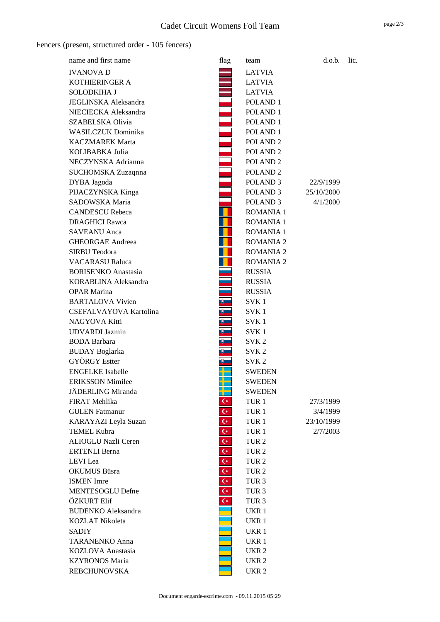Fencers (present, structured order - 105 fencers)

| name and first name         | flag                 | team                | d.o.b.     | lic. |
|-----------------------------|----------------------|---------------------|------------|------|
| <b>IVANOVA D</b>            |                      | <b>LATVIA</b>       |            |      |
| KOTHIERINGER A              |                      | <b>LATVIA</b>       |            |      |
| SOLODKIHA J                 |                      | <b>LATVIA</b>       |            |      |
| <b>JEGLINSKA</b> Aleksandra |                      | POLAND <sub>1</sub> |            |      |
| NIECIECKA Aleksandra        |                      | POLAND <sub>1</sub> |            |      |
| SZABELSKA Olivia            |                      | POLAND <sub>1</sub> |            |      |
| <b>WASILCZUK Dominika</b>   |                      | POLAND <sub>1</sub> |            |      |
| <b>KACZMAREK Marta</b>      |                      | POLAND <sub>2</sub> |            |      |
| KOLIBABKA Julia             |                      | POLAND <sub>2</sub> |            |      |
| NECZYNSKA Adrianna          |                      | POLAND <sub>2</sub> |            |      |
| SUCHOMSKA Zuzaqnna          |                      | POLAND <sub>2</sub> |            |      |
| DYBA Jagoda                 |                      | POLAND <sub>3</sub> | 22/9/1999  |      |
| PIJACZYNSKA Kinga           |                      | POLAND <sub>3</sub> | 25/10/2000 |      |
| SADOWSKA Maria              |                      | POLAND <sub>3</sub> | 4/1/2000   |      |
| <b>CANDESCU Rebeca</b>      |                      | <b>ROMANIA 1</b>    |            |      |
| <b>DRAGHICI Rawca</b>       |                      | <b>ROMANIA 1</b>    |            |      |
| <b>SAVEANU</b> Anca         |                      | <b>ROMANIA 1</b>    |            |      |
| <b>GHEORGAE Andreea</b>     |                      | <b>ROMANIA 2</b>    |            |      |
| <b>SIRBU Teodora</b>        |                      | <b>ROMANIA 2</b>    |            |      |
| <b>VACARASU Raluca</b>      |                      | <b>ROMANIA 2</b>    |            |      |
| <b>BORISENKO</b> Anastasia  |                      | <b>RUSSIA</b>       |            |      |
| KORABLINA Aleksandra        |                      | <b>RUSSIA</b>       |            |      |
| <b>OPAR Marina</b>          |                      | <b>RUSSIA</b>       |            |      |
| <b>BARTALOVA Vivien</b>     |                      | SVK <sub>1</sub>    |            |      |
| CSEFALVAYOVA Kartolina      | ₩                    | SVK 1               |            |      |
| NAGYOVA Kitti               |                      | SVK 1               |            |      |
| UDVARDI Jazmin              |                      | SVK 1               |            |      |
| <b>BODA</b> Barbara         |                      | SVK <sub>2</sub>    |            |      |
| <b>BUDAY</b> Boglarka       |                      | SVK <sub>2</sub>    |            |      |
| <b>GYÖRGY</b> Estter        | ⋓                    | SVK <sub>2</sub>    |            |      |
| <b>ENGELKE</b> Isabelle     |                      | <b>SWEDEN</b>       |            |      |
| <b>ERIKSSON Mimilee</b>     |                      | <b>SWEDEN</b>       |            |      |
| JÄDERLING Miranda           |                      | <b>SWEDEN</b>       |            |      |
| FIRAT Mehlika               | $\mathsf{C}^*$       | TUR <sub>1</sub>    | 27/3/1999  |      |
| <b>GULEN</b> Fatmanur       | $\mathsf{C}^{\star}$ | TUR <sub>1</sub>    | 3/4/1999   |      |
| KARAYAZI Leyla Suzan        | $\mathsf{C}^*$       | TUR <sub>1</sub>    | 23/10/1999 |      |
| <b>TEMEL Kubra</b>          | $\mathsf{C}^{\star}$ | TUR <sub>1</sub>    | 2/7/2003   |      |
| ALIOGLU Nazli Ceren         | $\mathsf{C}^*$       | TUR <sub>2</sub>    |            |      |
| <b>ERTENLI Berna</b>        | $\mathsf{C}^*$       | TUR <sub>2</sub>    |            |      |
| LEVI Lea                    | $\mathsf{C}^*$       | TUR <sub>2</sub>    |            |      |
| OKUMUS Büsra                | $\mathsf{C}^*$       | TUR <sub>2</sub>    |            |      |
| <b>ISMEN</b> Imre           | $\mathsf{C}^\star$   | TUR <sub>3</sub>    |            |      |
| MENTESOGLU Defne            | $\mathsf{C}^\star$   | TUR <sub>3</sub>    |            |      |
| ÖZKURT Elif                 | $\mathsf{C}^*$       | TUR <sub>3</sub>    |            |      |
| <b>BUDENKO</b> Aleksandra   |                      | UKR 1               |            |      |
| <b>KOZLAT Nikoleta</b>      |                      | UKR 1               |            |      |
| SADIY                       |                      | UKR 1               |            |      |
| <b>TARANENKO Anna</b>       |                      | UKR 1               |            |      |
| KOZLOVA Anastasia           |                      | UKR <sub>2</sub>    |            |      |
| <b>KZYRONOS Maria</b>       |                      | UKR <sub>2</sub>    |            |      |
| <b>REBCHUNOVSKA</b>         |                      | UKR <sub>2</sub>    |            |      |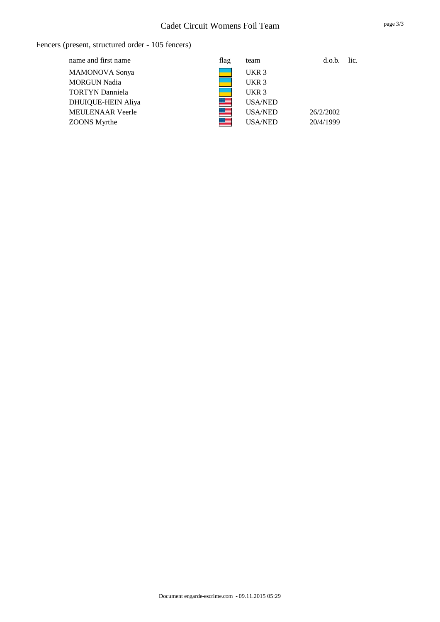### Fencers (present, structured order - 105 fencers)

| name and first name     | flag           | team             | d.o.b.    | lic. |
|-------------------------|----------------|------------------|-----------|------|
| <b>MAMONOVA</b> Sonya   |                | UKR <sub>3</sub> |           |      |
| <b>MORGUN Nadia</b>     |                | UKR <sub>3</sub> |           |      |
| <b>TORTYN Danniela</b>  |                | UKR <sub>3</sub> |           |      |
| DHUIQUE-HEIN Aliya      | ▓▆             | <b>USA/NED</b>   |           |      |
| <b>MEULENAAR Veerle</b> | <u> III.a </u> | USA/NED          | 26/2/2002 |      |
| <b>ZOONS</b> Myrthe     | <b>Second</b>  | <b>USA/NED</b>   | 20/4/1999 |      |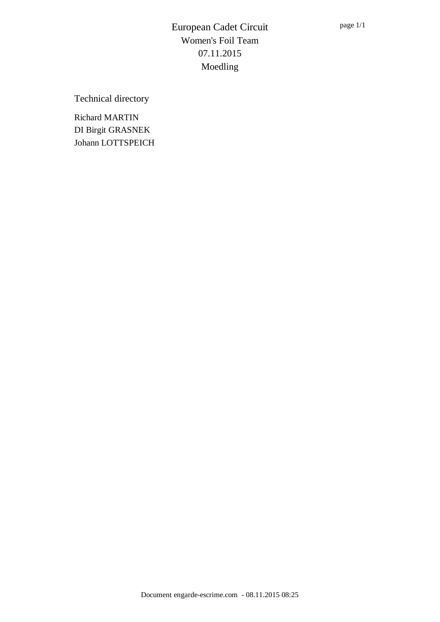Technical directory

Richard MARTIN DI Birgit GRASNEK Johann LOTTSPEICH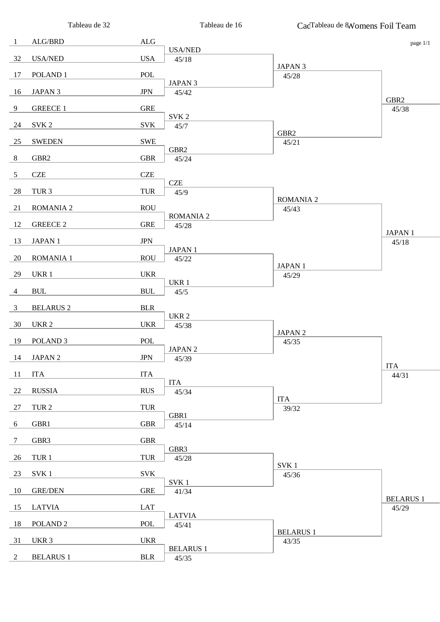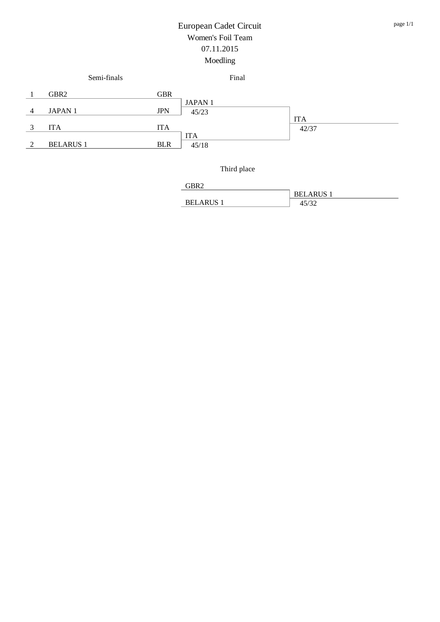

Third place

| $\cdot$ :RR <sup><math>\circ</math></sup> |                |
|-------------------------------------------|----------------|
|                                           | <b>BELARUS</b> |
| <b>BELARUS</b>                            |                |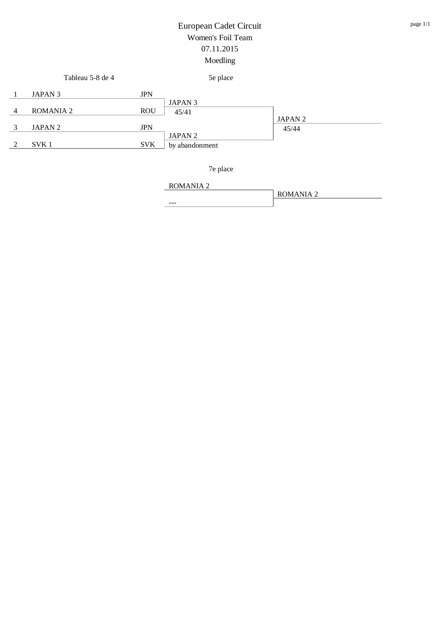|   | Tableau 5-8 de 4   |            | 5e place                             |                             |
|---|--------------------|------------|--------------------------------------|-----------------------------|
|   | JAPAN <sub>3</sub> | <b>JPN</b> |                                      |                             |
| 4 | ROMANIA 2          | <b>ROU</b> | JAPAN 3<br>45/41                     |                             |
| 3 | JAPAN 2            | <b>JPN</b> |                                      | JAPAN <sub>2</sub><br>45/44 |
|   | SVK <sub>1</sub>   | <b>SVK</b> | JAPAN <sub>2</sub><br>by abandonment |                             |

7e place

ROMANIA 2 --- ROMANIA 2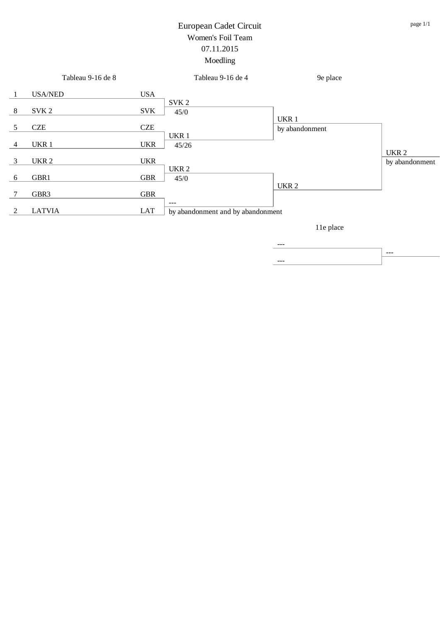|                | Tableau 9-16 de 8 |            | Tableau 9-16 de 4                 | 9e place         |                  |
|----------------|-------------------|------------|-----------------------------------|------------------|------------------|
| -1             | <b>USA/NED</b>    | <b>USA</b> |                                   |                  |                  |
| 8              | SVK <sub>2</sub>  | <b>SVK</b> | SVK <sub>2</sub><br>45/0          |                  |                  |
|                |                   |            |                                   | UKR 1            |                  |
| 5              | <b>CZE</b>        | <b>CZE</b> |                                   | by abandonment   |                  |
|                |                   |            | UKR 1                             |                  |                  |
| $\overline{4}$ | UKR 1             | <b>UKR</b> | 45/26                             |                  |                  |
|                |                   |            |                                   |                  | UKR <sub>2</sub> |
| 3              | UKR <sub>2</sub>  | <b>UKR</b> |                                   |                  | by abandonment   |
|                |                   |            | UKR <sub>2</sub>                  |                  |                  |
| 6              | GBR1              | <b>GBR</b> | 45/0                              |                  |                  |
|                |                   |            |                                   | UKR <sub>2</sub> |                  |
| 7              | GBR3              | <b>GBR</b> |                                   |                  |                  |
|                |                   |            | $\qquad \qquad -$                 |                  |                  |
| 2              | <b>LATVIA</b>     | LAT        | by abandonment and by abandonment |                  |                  |
|                |                   |            |                                   |                  |                  |

11e place

--- --- ---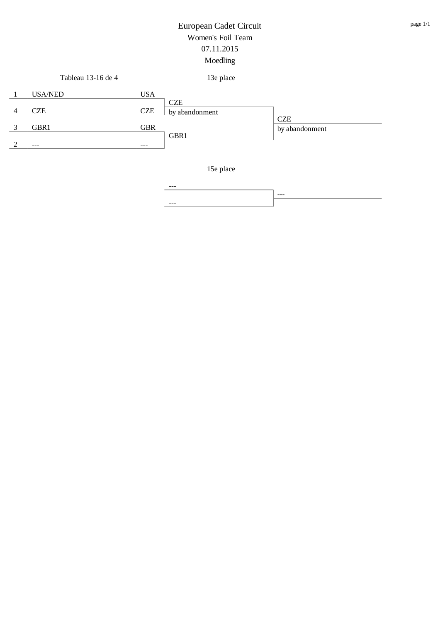|   | Tableau 13-16 de 4 |            | 13e place      |                              |
|---|--------------------|------------|----------------|------------------------------|
|   | <b>USA/NED</b>     | <b>USA</b> | <b>CZE</b>     |                              |
| 4 | <b>CZE</b>         | <b>CZE</b> | by abandonment |                              |
|   | GBR1               | <b>GBR</b> |                | <b>CZE</b><br>by abandonment |
|   | ---                | $- - -$    | GBR1           |                              |
|   |                    |            |                |                              |

15e place

--- --- ---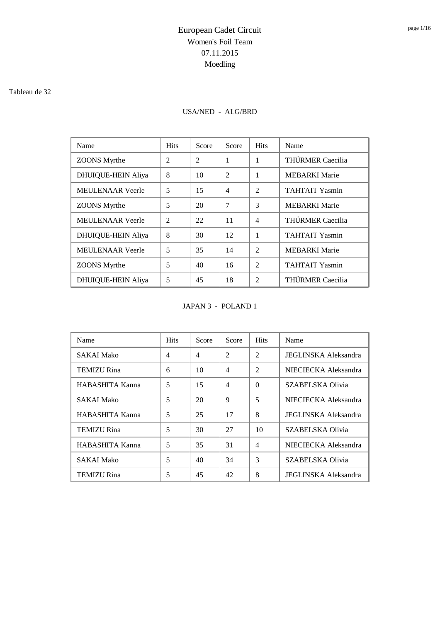#### Tableau de 32

### USA/NED - ALG/BRD

| Name                      | <b>Hits</b>    | Score | Score          | <b>Hits</b>    | Name                    |
|---------------------------|----------------|-------|----------------|----------------|-------------------------|
| <b>ZOONS</b> Myrthe       | $\mathfrak{D}$ | 2     | 1              | 1              | THÜRMER Caecilia        |
| <b>DHUIQUE-HEIN Aliya</b> | 8              | 10    | $\mathfrak{D}$ | 1              | <b>MEBARKI</b> Marie    |
| <b>MEULENAAR</b> Veerle   | 5              | 15    | 4              | $\mathfrak{D}$ | <b>TAHTAIT Yasmin</b>   |
| <b>ZOONS</b> Myrthe       | 5              | 20    | 7              | 3              | <b>MEBARKI</b> Marie    |
| <b>MEULENAAR</b> Veerle   | $\mathfrak{D}$ | 22    | 11             | $\overline{4}$ | <b>THÜRMER Caecilia</b> |
| <b>DHUIQUE-HEIN Aliya</b> | 8              | 30    | 12             | 1              | <b>TAHTAIT Yasmin</b>   |
| <b>MEULENAAR Veerle</b>   | 5              | 35    | 14             | $\mathfrak{D}$ | <b>MEBARKI</b> Marie    |
| <b>ZOONS</b> Myrthe       | 5              | 40    | 16             | $\mathfrak{D}$ | <b>TAHTAIT Yasmin</b>   |
| <b>DHUIQUE-HEIN Aliya</b> | 5              | 45    | 18             | $\mathfrak{D}$ | THÜRMER Caecilia        |

#### JAPAN 3 - POLAND 1

| Name               | <b>Hits</b>    | Score          | Score          | <b>Hits</b>    | Name                        |
|--------------------|----------------|----------------|----------------|----------------|-----------------------------|
| SAKAI Mako         | $\overline{4}$ | $\overline{4}$ | $\overline{2}$ | $\mathfrak{D}$ | <b>JEGLINSKA Aleksandra</b> |
| <b>TEMIZU Rina</b> | 6              | 10             | $\overline{4}$ | $\mathfrak{D}$ | NIECIECKA Aleksandra        |
| HABASHITA Kanna    | 5              | 15             | $\overline{4}$ | $\Omega$       | SZABELSKA Olivia            |
| SAKAI Mako         | 5              | 20             | 9              | 5              | NIECIECKA Aleksandra        |
| HABASHITA Kanna    | 5              | 25             | 17             | 8              | <b>JEGLINSKA Aleksandra</b> |
| <b>TEMIZU Rina</b> | 5              | 30             | 27             | 10             | SZABELSKA Olivia            |
| HABASHITA Kanna    | 5              | 35             | 31             | $\overline{4}$ | NIECIECKA Aleksandra        |
| <b>SAKAI Mako</b>  | 5              | 40             | 34             | 3              | SZABELSKA Olivia            |
| TEMIZU Rina        | 5              | 45             | 42             | 8              | <b>JEGLINSKA Aleksandra</b> |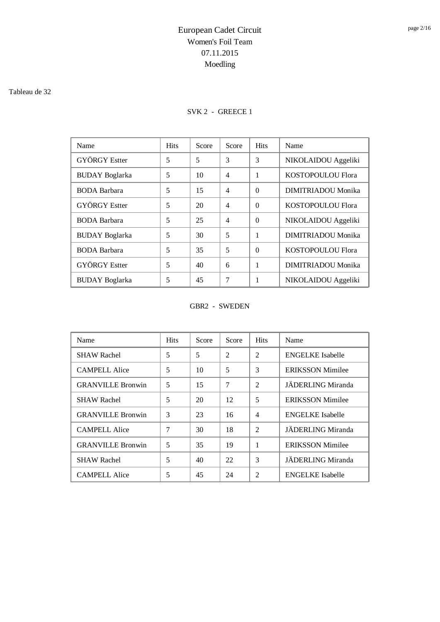#### Tableau de 32

### SVK 2 - GREECE 1

| Name                  | <b>Hits</b> | Score | Score          | <b>Hits</b> | Name                |
|-----------------------|-------------|-------|----------------|-------------|---------------------|
| <b>GYÖRGY</b> Estter  | 5           | 5     | 3              | 3           | NIKOLAIDOU Aggeliki |
| <b>BUDAY</b> Boglarka | 5           | 10    | $\overline{4}$ | 1           | KOSTOPOULOU Flora   |
| <b>BODA</b> Barbara   | 5           | 15    | $\overline{4}$ | $\Omega$    | DIMITRIADOU Monika  |
| <b>GYÖRGY</b> Estter  | 5           | 20    | $\overline{4}$ | $\Omega$    | KOSTOPOULOU Flora   |
| <b>BODA</b> Barbara   | 5           | 25    | $\overline{4}$ | $\Omega$    | NIKOLAIDOU Aggeliki |
| <b>BUDAY</b> Boglarka | 5           | 30    | 5              | 1           | DIMITRIADOU Monika  |
| <b>BODA</b> Barbara   | 5           | 35    | 5              | $\Omega$    | KOSTOPOULOU Flora   |
| <b>GYÖRGY</b> Estter  | 5           | 40    | 6              | 1           | DIMITRIADOU Monika  |
| <b>BUDAY</b> Boglarka | 5           | 45    | 7              |             | NIKOLAIDOU Aggeliki |

#### GBR2 - SWEDEN

| Name                     | <b>Hits</b>    | Score | Score          | <b>Hits</b>    | Name                    |
|--------------------------|----------------|-------|----------------|----------------|-------------------------|
| <b>SHAW Rachel</b>       | 5              | 5     | $\overline{2}$ | $\mathfrak{D}$ | <b>ENGELKE</b> Isabelle |
| <b>CAMPELL Alice</b>     | 5              | 10    | 5              | 3              | <b>ERIKSSON Mimilee</b> |
| <b>GRANVILLE Bronwin</b> | 5              | 15    | 7              | 2              | JÄDERLING Miranda       |
| <b>SHAW Rachel</b>       | 5              | 20    | 12             | 5              | <b>ERIKSSON Mimilee</b> |
| <b>GRANVILLE Bronwin</b> | 3              | 23    | 16             | $\overline{4}$ | <b>ENGELKE</b> Isabelle |
| <b>CAMPELL Alice</b>     | $\overline{7}$ | 30    | 18             | $\overline{2}$ | JÄDERLING Miranda       |
| <b>GRANVILLE Bronwin</b> | 5              | 35    | 19             | 1              | <b>ERIKSSON Mimilee</b> |
| <b>SHAW Rachel</b>       | 5              | 40    | 22             | 3              | JÄDERLING Miranda       |
| <b>CAMPELL Alice</b>     | 5              | 45    | 24             | $\overline{c}$ | <b>ENGELKE</b> Isabelle |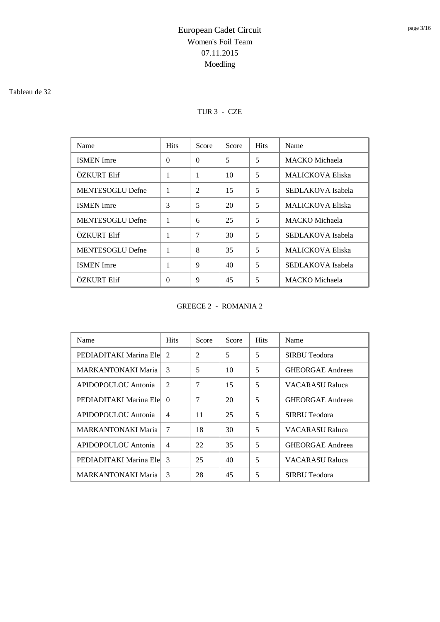#### Tableau de 32

### TUR 3 - CZE

| Name                    | <b>Hits</b>  | Score    | Score | <b>Hits</b> | Name                    |
|-------------------------|--------------|----------|-------|-------------|-------------------------|
| <b>ISMEN</b> Imre       | $\Omega$     | $\Omega$ | 5     | 5           | <b>MACKO</b> Michaela   |
| ÖZKURT Elif             | $\mathbf{1}$ | 1        | 10    | 5           | <b>MALICKOVA Eliska</b> |
| <b>MENTESOGLU Defne</b> | 1            | 2        | 15    | 5           | SEDLAKOVA Isabela       |
| <b>ISMEN</b> Imre       | 3            | 5        | 20    | 5           | <b>MALICKOVA Eliska</b> |
| MENTESOGLU Defne        | $\mathbf{1}$ | 6        | 25    | 5           | MACKO Michaela          |
| ÖZKURT Elif             | 1            | 7        | 30    | 5           | SEDLAKOVA Isabela       |
| MENTESOGLU Defne        | 1            | 8        | 35    | 5           | <b>MALICKOVA Eliska</b> |
| <b>ISMEN</b> Imre       | 1            | 9        | 40    | 5           | SEDLAKOVA Isabela       |
| ÖZKURT Elif             | $\Omega$     | 9        | 45    | 5           | MACKO Michaela          |

GREECE 2 - ROMANIA 2

| Name                      | <b>Hits</b>    | Score | Score | <b>Hits</b> | Name                    |
|---------------------------|----------------|-------|-------|-------------|-------------------------|
| PEDIADITAKI Marina Ele    | 2              | 2     | 5     | 5           | SIRBU Teodora           |
| <b>MARKANTONAKI Maria</b> | 3              | 5     | 10    | 5           | <b>GHEORGAE Andreea</b> |
| APIDOPOULOU Antonia       | 2              | 7     | 15    | 5           | <b>VACARASU Raluca</b>  |
| PEDIADITAKI Marina Ele    | $\Omega$       | 7     | 20    | 5           | <b>GHEORGAE Andreea</b> |
| APIDOPOULOU Antonia       | $\overline{4}$ | 11    | 25    | 5           | SIRBU Teodora           |
| <b>MARKANTONAKI Maria</b> | 7              | 18    | 30    | 5           | VACARASU Raluca         |
| APIDOPOULOU Antonia       | $\overline{4}$ | 22    | 35    | 5           | <b>GHEORGAE Andreea</b> |
| PEDIADITAKI Marina Ele    | 3              | 25    | 40    | 5           | VACARASU Raluca         |
| <b>MARKANTONAKI Maria</b> | 3              | 28    | 45    | 5           | SIRBU Teodora           |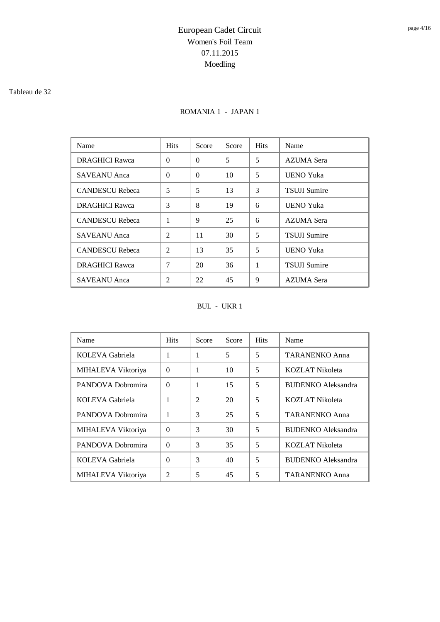#### Tableau de 32

### ROMANIA 1 - JAPAN 1

| Name                   | <b>Hits</b>    | Score    | Score | <b>Hits</b> | Name                |
|------------------------|----------------|----------|-------|-------------|---------------------|
| <b>DRAGHICI Rawca</b>  | $\Omega$       | $\Omega$ | 5     | 5           | AZUMA Sera          |
| SAVEANU Anca           | $\Omega$       | $\Omega$ | 10    | 5           | UENO Yuka           |
| <b>CANDESCU</b> Rebeca | 5              | 5        | 13    | 3           | <b>TSUJI Sumire</b> |
| <b>DRAGHICI Rawca</b>  | 3              | 8        | 19    | 6           | <b>UENO Yuka</b>    |
| <b>CANDESCU Rebeca</b> | 1              | 9        | 25    | 6           | AZUMA Sera          |
| SAVEANU Anca           | $\mathfrak{D}$ | 11       | 30    | 5           | <b>TSUJI Sumire</b> |
| <b>CANDESCU Rebeca</b> | $\overline{2}$ | 13       | 35    | 5           | <b>UENO Yuka</b>    |
| <b>DRAGHICI Rawca</b>  | 7              | 20       | 36    | 1           | <b>TSUJI Sumire</b> |
| SAVEANU Anca           | $\overline{c}$ | 22       | 45    | 9           | AZUMA Sera          |

BUL - UKR 1

| Name               | <b>Hits</b>    | Score          | Score | <b>Hits</b> | Name                      |
|--------------------|----------------|----------------|-------|-------------|---------------------------|
| KOLEVA Gabriela    | 1              | 1              | 5     | 5           | <b>TARANENKO Anna</b>     |
| MIHALEVA Viktoriya | $\Omega$       | 1              | 10    | 5           | <b>KOZLAT Nikoleta</b>    |
| PANDOVA Dobromira  | $\Omega$       | 1              | 15    | 5           | <b>BUDENKO</b> Aleksandra |
| KOLEVA Gabriela    | 1              | $\overline{2}$ | 20    | 5           | KOZLAT Nikoleta           |
| PANDOVA Dobromira  | 1              | 3              | 25    | 5           | <b>TARANENKO Anna</b>     |
| MIHALEVA Viktoriya | $\Omega$       | 3              | 30    | 5           | <b>BUDENKO</b> Aleksandra |
| PANDOVA Dobromira  | $\Omega$       | 3              | 35    | 5           | <b>KOZLAT Nikoleta</b>    |
| KOLEVA Gabriela    | $\Omega$       | 3              | 40    | 5           | <b>BUDENKO</b> Aleksandra |
| MIHALEVA Viktoriya | $\mathfrak{D}$ | 5              | 45    | 5           | <b>TARANENKO Anna</b>     |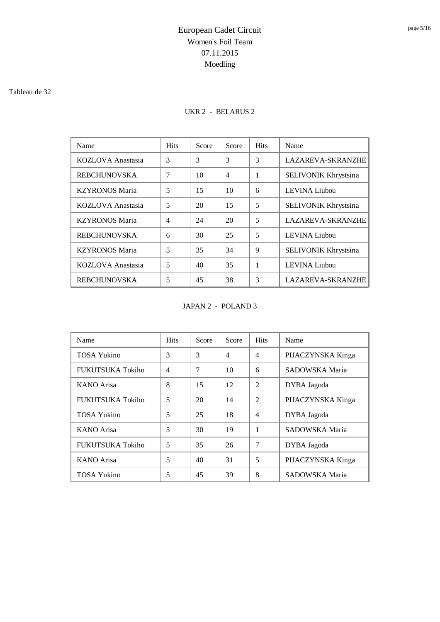#### Tableau de 32

### UKR 2 - BELARUS 2

| Name                  | <b>Hits</b>    | Score | Score          | <b>Hits</b> | Name                        |
|-----------------------|----------------|-------|----------------|-------------|-----------------------------|
| KOZLOVA Anastasia     | 3              | 3     | 3              | 3           | <b>LAZAREVA-SKRANZHE</b>    |
| <b>REBCHUNOVSKA</b>   | 7              | 10    | $\overline{4}$ | 1           | SELIVONIK Khrystsina        |
| <b>KZYRONOS Maria</b> | 5              | 15    | 10             | 6           | <b>LEVINA</b> Liubou        |
| KOZLOVA Anastasia     | 5              | 20    | 15             | 5           | <b>SELIVONIK Khrystsina</b> |
| <b>KZYRONOS Maria</b> | $\overline{4}$ | 24    | 20             | 5           | <b>LAZAREVA-SKRANZHE</b>    |
| <b>REBCHUNOVSKA</b>   | 6              | 30    | 25             | 5           | <b>LEVINA</b> Liubou        |
| <b>KZYRONOS Maria</b> | 5              | 35    | 34             | 9           | SELIVONIK Khrystsina        |
| KOZLOVA Anastasia     | 5              | 40    | 35             | 1           | LEVINA Liubou               |
| <b>REBCHUNOVSKA</b>   | 5              | 45    | 38             | 3           | <b>LAZAREVA-SKRANZHE</b>    |

#### JAPAN 2 - POLAND 3

| Name               | <b>Hits</b>    | Score | Score          | <b>Hits</b>              | Name              |
|--------------------|----------------|-------|----------------|--------------------------|-------------------|
| <b>TOSA Yukino</b> | 3              | 3     | $\overline{4}$ | $\overline{4}$           | PIJACZYNSKA Kinga |
| FUKUTSUKA Tokiho   | $\overline{4}$ | 7     | 10             | 6                        | SADOWSKA Maria    |
| <b>KANO</b> Arisa  | 8              | 15    | 12             | $\overline{2}$           | DYBA Jagoda       |
| FUKUTSUKA Tokiho   | 5              | 20    | 14             | $\overline{\mathcal{L}}$ | PIJACZYNSKA Kinga |
| TOSA Yukino        | 5              | 25    | 18             | $\overline{4}$           | DYBA Jagoda       |
| <b>KANO</b> Arisa  | 5              | 30    | 19             |                          | SADOWSKA Maria    |
| FUKUTSUKA Tokiho   | 5              | 35    | 26             | 7                        | DYBA Jagoda       |
| <b>KANO</b> Arisa  | 5              | 40    | 31             | 5                        | PIJACZYNSKA Kinga |
| TOSA Yukino        | 5              | 45    | 39             | 8                        | SADOWSKA Maria    |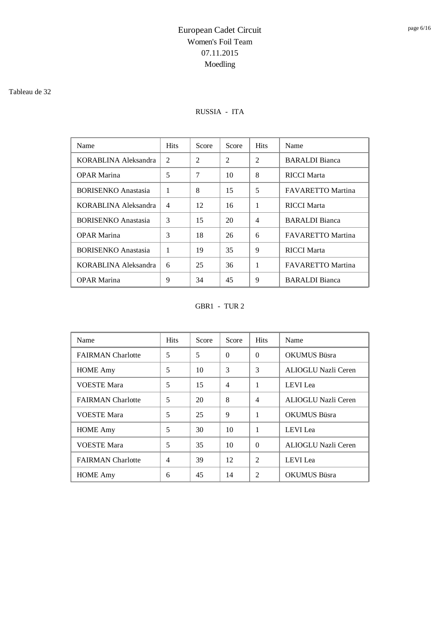#### Tableau de 32

### RUSSIA - ITA

| Name                       | <b>Hits</b> | Score | Score          | <b>Hits</b>    | Name                     |
|----------------------------|-------------|-------|----------------|----------------|--------------------------|
| KORABLINA Aleksandra       | 2           | 2     | $\overline{c}$ | 2              | <b>BARALDI</b> Bianca    |
| <b>OPAR Marina</b>         | 5           | 7     | 10             | 8              | <b>RICCI Marta</b>       |
| <b>BORISENKO Anastasia</b> | 1           | 8     | 15             | 5              | <b>FAVARETTO Martina</b> |
| KORABLINA Aleksandra       | 4           | 12    | 16             | 1              | <b>RICCI Marta</b>       |
| <b>BORISENKO Anastasia</b> | 3           | 15    | 20             | $\overline{4}$ | <b>BARALDI</b> Bianca    |
| <b>OPAR Marina</b>         | 3           | 18    | 26             | 6              | <b>FAVARETTO Martina</b> |
| <b>BORISENKO</b> Anastasia | 1           | 19    | 35             | 9              | <b>RICCI Marta</b>       |
| KORABLINA Aleksandra       | 6           | 25    | 36             | 1              | <b>FAVARETTO Martina</b> |
| <b>OPAR Marina</b>         | 9           | 34    | 45             | 9              | <b>BARALDI</b> Bianca    |

GBR1 - TUR 2

| Name                     | <b>Hits</b>    | Score | Score          | <b>Hits</b>    | Name                |
|--------------------------|----------------|-------|----------------|----------------|---------------------|
| <b>FAIRMAN</b> Charlotte | 5              | 5     | $\Omega$       | $\Omega$       | <b>OKUMUS Büsra</b> |
| <b>HOME</b> Amy          | 5              | 10    | 3              | 3              | ALIOGLU Nazli Ceren |
| <b>VOESTE Mara</b>       | 5              | 15    | $\overline{4}$ | 1              | LEVI Lea            |
| <b>FAIRMAN</b> Charlotte | 5              | 20    | 8              | $\overline{4}$ | ALIOGLU Nazli Ceren |
| <b>VOESTE Mara</b>       | 5              | 25    | 9              | 1              | <b>OKUMUS Büsra</b> |
| <b>HOME Amy</b>          | 5              | 30    | 10             | 1              | <b>LEVI</b> Lea     |
| <b>VOESTE Mara</b>       | 5              | 35    | 10             | $\Omega$       | ALIOGLU Nazli Ceren |
| <b>FAIRMAN</b> Charlotte | $\overline{4}$ | 39    | 12             | $\mathfrak{D}$ | <b>LEVI</b> Lea     |
| <b>HOME</b> Amy          | 6              | 45    | 14             | $\mathfrak{D}$ | <b>OKUMUS Büsra</b> |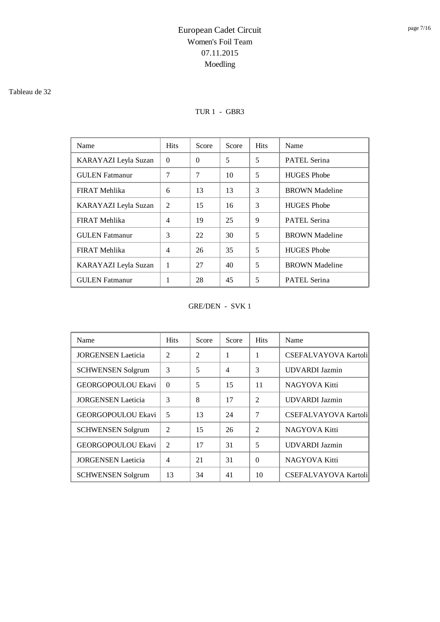#### Tableau de 32

### TUR 1 - GBR3

| Name                  | <b>Hits</b>    | Score    | Score | <b>Hits</b> | Name                  |
|-----------------------|----------------|----------|-------|-------------|-----------------------|
| KARAYAZI Leyla Suzan  | $\Omega$       | $\theta$ | 5     | 5           | <b>PATEL Serina</b>   |
| <b>GULEN</b> Fatmanur | 7              | 7        | 10    | 5           | <b>HUGES</b> Phobe    |
| FIRAT Mehlika         | 6              | 13       | 13    | 3           | <b>BROWN</b> Madeline |
| KARAYAZI Leyla Suzan  | $\mathfrak{D}$ | 15       | 16    | 3           | <b>HUGES</b> Phobe    |
| <b>FIRAT Mehlika</b>  | $\overline{4}$ | 19       | 25    | 9           | <b>PATEL Serina</b>   |
| <b>GULEN</b> Fatmanur | 3              | 22       | 30    | 5           | <b>BROWN</b> Madeline |
| FIRAT Mehlika         | 4              | 26       | 35    | 5           | <b>HUGES</b> Phobe    |
| KARAYAZI Leyla Suzan  | 1              | 27       | 40    | 5           | <b>BROWN</b> Madeline |
| <b>GULEN</b> Fatmanur | 1              | 28       | 45    | 5           | <b>PATEL Serina</b>   |

GRE/DEN - SVK 1

| Name                      | <b>Hits</b>    | Score          | Score          | <b>Hits</b>    | Name                        |
|---------------------------|----------------|----------------|----------------|----------------|-----------------------------|
| <b>JORGENSEN</b> Laeticia | $\overline{2}$ | $\mathfrak{D}$ | 1              | 1              | <b>CSEFALVAYOVA Kartoli</b> |
| <b>SCHWENSEN Solgrum</b>  | 3              | 5              | $\overline{4}$ | 3              | <b>UDVARDI</b> Jazmin       |
| GEORGOPOULOU Ekavi        | $\Omega$       | 5              | 15             | 11             | NAGYOVA Kitti               |
| <b>JORGENSEN Laeticia</b> | 3              | 8              | 17             | $\overline{2}$ | <b>UDVARDI</b> Jazmin       |
| GEORGOPOULOU Ekavi        | 5              | 13             | 24             | 7              | <b>CSEFALVAYOVA Kartoli</b> |
| <b>SCHWENSEN Solgrum</b>  | $\mathfrak{D}$ | 15             | 26             | $\overline{2}$ | <b>NAGYOVA Kitti</b>        |
| GEORGOPOULOU Ekavi        | $\overline{2}$ | 17             | 31             | 5              | <b>UDVARDI</b> Jazmin       |
| <b>JORGENSEN Laeticia</b> | $\overline{4}$ | 21             | 31             | $\Omega$       | NAGYOVA Kitti               |
| <b>SCHWENSEN Solgrum</b>  | 13             | 34             | 41             | 10             | <b>CSEFALVAYOVA Kartoli</b> |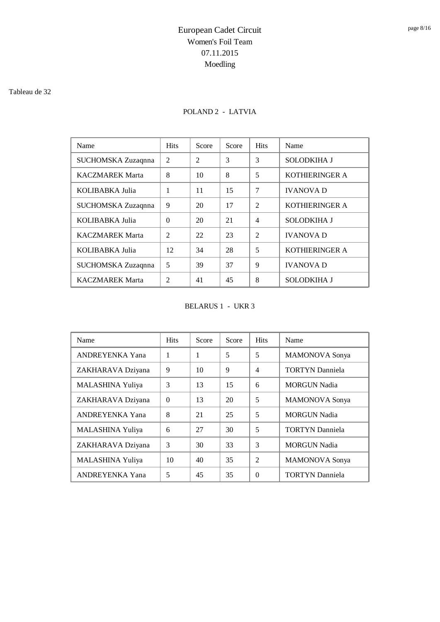#### Tableau de 32

### POLAND 2 - LATVIA

| Name                   | <b>Hits</b>    | Score          | Score | <b>Hits</b>    | Name                  |
|------------------------|----------------|----------------|-------|----------------|-----------------------|
| SUCHOMSKA Zuzaqnna     | 2              | $\mathfrak{D}$ | 3     | 3              | <b>SOLODKIHA J</b>    |
| <b>KACZMAREK Marta</b> | 8              | 10             | 8     | 5              | <b>KOTHIERINGER A</b> |
| KOLIBABKA Julia        | 1              | 11             | 15    | 7              | <b>IVANOVA D</b>      |
| SUCHOMSKA Zuzaqnna     | 9              | 20             | 17    | $\mathfrak{D}$ | <b>KOTHIERINGER A</b> |
| KOLIBABKA Julia        | $\Omega$       | 20             | 21    | $\overline{4}$ | <b>SOLODKIHA J</b>    |
| <b>KACZMAREK Marta</b> | $\mathfrak{D}$ | 22             | 23    | $\mathfrak{D}$ | <b>IVANOVA D</b>      |
| KOLIBABKA Julia        | 12             | 34             | 28    | 5              | KOTHIERINGER A        |
| SUCHOMSKA Zuzaqnna     | 5              | 39             | 37    | 9              | <b>IVANOVA D</b>      |
| <b>KACZMAREK Marta</b> | $\mathfrak{D}$ | 41             | 45    | 8              | <b>SOLODKIHA J</b>    |

BELARUS 1 - UKR 3

| Name                    | <b>Hits</b> | Score | Score | <b>Hits</b>    | Name                   |
|-------------------------|-------------|-------|-------|----------------|------------------------|
| <b>ANDREYENKA Yana</b>  | 1           | 1     | 5     | 5              | <b>MAMONOVA</b> Sonya  |
| ZAKHARAVA Dziyana       | 9           | 10    | 9     | $\overline{4}$ | <b>TORTYN Danniela</b> |
| MALASHINA Yuliya        | 3           | 13    | 15    | 6              | <b>MORGUN Nadia</b>    |
| ZAKHARAVA Dziyana       | $\Omega$    | 13    | 20    | 5              | <b>MAMONOVA</b> Sonya  |
| <b>ANDREYENKA Yana</b>  | 8           | 21    | 25    | 5              | <b>MORGUN Nadia</b>    |
| <b>MALASHINA Yuliya</b> | 6           | 27    | 30    | 5              | <b>TORTYN</b> Danniela |
| ZAKHARAVA Dziyana       | 3           | 30    | 33    | 3              | <b>MORGUN Nadia</b>    |
| MALASHINA Yuliya        | 10          | 40    | 35    | $\mathfrak{D}$ | <b>MAMONOVA</b> Sonya  |
| <b>ANDREYENKA Yana</b>  | 5           | 45    | 35    | $\Omega$       | <b>TORTYN</b> Danniela |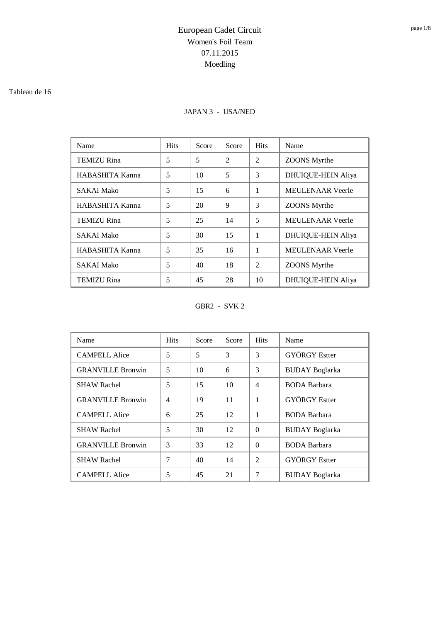#### Tableau de 16

### JAPAN 3 - USA/NED

| Name               | <b>Hits</b> | Score | Score          | <b>Hits</b>    | Name                      |
|--------------------|-------------|-------|----------------|----------------|---------------------------|
| <b>TEMIZU Rina</b> | 5           | 5     | $\overline{2}$ | $\overline{2}$ | <b>ZOONS</b> Myrthe       |
| HABASHITA Kanna    | 5           | 10    | 5              | 3              | <b>DHUIQUE-HEIN Aliya</b> |
| <b>SAKAI Mako</b>  | 5           | 15    | 6              | 1              | <b>MEULENAAR Veerle</b>   |
| HABASHITA Kanna    | 5           | 20    | 9              | 3              | <b>ZOONS</b> Myrthe       |
| <b>TEMIZU Rina</b> | 5           | 25    | 14             | 5              | <b>MEULENAAR</b> Veerle   |
| <b>SAKAI Mako</b>  | 5           | 30    | 15             | 1              | <b>DHUIQUE-HEIN Aliya</b> |
| HABASHITA Kanna    | 5           | 35    | 16             | 1              | <b>MEULENAAR Veerle</b>   |
| <b>SAKAI Mako</b>  | 5           | 40    | 18             | $\mathfrak{D}$ | <b>ZOONS</b> Myrthe       |
| <b>TEMIZU Rina</b> | 5           | 45    | 28             | 10             | <b>DHUIQUE-HEIN Aliya</b> |

GBR2 - SVK 2

| Name                     | <b>Hits</b>    | Score | Score | <b>Hits</b> | Name                  |
|--------------------------|----------------|-------|-------|-------------|-----------------------|
| <b>CAMPELL Alice</b>     | 5              | 5     | 3     | 3           | <b>GYÖRGY</b> Estter  |
| <b>GRANVILLE Bronwin</b> | 5              | 10    | 6     | 3           | <b>BUDAY</b> Boglarka |
| <b>SHAW Rachel</b>       | 5              | 15    | 10    | 4           | <b>BODA</b> Barbara   |
| <b>GRANVILLE Bronwin</b> | $\overline{4}$ | 19    | 11    | 1           | <b>GYÖRGY</b> Estter  |
| <b>CAMPELL Alice</b>     | 6              | 25    | 12    | 1           | <b>BODA</b> Barbara   |
| <b>SHAW Rachel</b>       | 5              | 30    | 12    | $\Omega$    | <b>BUDAY</b> Boglarka |
| <b>GRANVILLE Bronwin</b> | 3              | 33    | 12    | $\Omega$    | <b>BODA</b> Barbara   |
| <b>SHAW Rachel</b>       | 7              | 40    | 14    | 2           | <b>GYÖRGY</b> Estter  |
| <b>CAMPELL Alice</b>     | 5              | 45    | 21    | 7           | <b>BUDAY</b> Boglarka |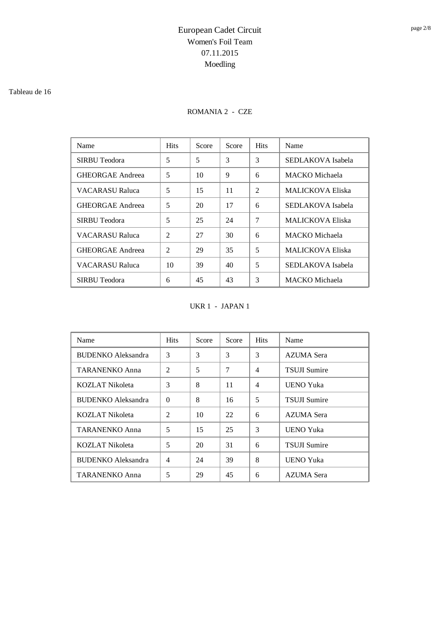#### Tableau de 16

### ROMANIA 2 - CZE

| Name                    | <b>Hits</b>    | Score | Score | <b>Hits</b>    | Name                    |
|-------------------------|----------------|-------|-------|----------------|-------------------------|
| SIRBU Teodora           | 5              | 5     | 3     | 3              | SEDLAKOVA Isabela       |
| <b>GHEORGAE Andreea</b> | 5              | 10    | 9     | 6              | <b>MACKO</b> Michaela   |
| VACARASU Raluca         | 5              | 15    | 11    | $\mathfrak{D}$ | MALICKOVA Eliska        |
| <b>GHEORGAE Andreea</b> | 5              | 20    | 17    | 6              | SEDLAKOVA Isabela       |
| SIRBU Teodora           | 5              | 25    | 24    | 7              | MALICKOVA Eliska        |
| VACARASU Raluca         | $\mathfrak{D}$ | 27    | 30    | 6              | <b>MACKO</b> Michaela   |
| <b>GHEORGAE Andreea</b> | $\mathfrak{D}$ | 29    | 35    | 5              | <b>MALICKOVA Eliska</b> |
| <b>VACARASU Raluca</b>  | 10             | 39    | 40    | 5              | SEDLAKOVA Isabela       |
| SIRBU Teodora           | 6              | 45    | 43    | 3              | MACKO Michaela          |

UKR 1 - JAPAN 1

| Name                      | <b>Hits</b>    | Score | Score | <b>Hits</b>              | Name                |
|---------------------------|----------------|-------|-------|--------------------------|---------------------|
| <b>BUDENKO</b> Aleksandra | 3              | 3     | 3     | 3                        | AZUMA Sera          |
| <b>TARANENKO Anna</b>     | 2              | 5     | 7     | $\overline{\mathcal{L}}$ | <b>TSUJI Sumire</b> |
| KOZLAT Nikoleta           | 3              | 8     | 11    | $\overline{4}$           | <b>UENO Yuka</b>    |
| <b>BUDENKO</b> Aleksandra | $\Omega$       | 8     | 16    | 5                        | <b>TSUJI Sumire</b> |
| KOZLAT Nikoleta           | $\overline{2}$ | 10    | 22    | 6                        | AZUMA Sera          |
| <b>TARANENKO Anna</b>     | 5              | 15    | 25    | 3                        | <b>UENO Yuka</b>    |
| KOZLAT Nikoleta           | 5              | 20    | 31    | 6                        | <b>TSUJI Sumire</b> |
| <b>BUDENKO</b> Aleksandra | $\overline{4}$ | 24    | 39    | 8                        | <b>UENO Yuka</b>    |
| <b>TARANENKO Anna</b>     | 5              | 29    | 45    | 6                        | AZUMA Sera          |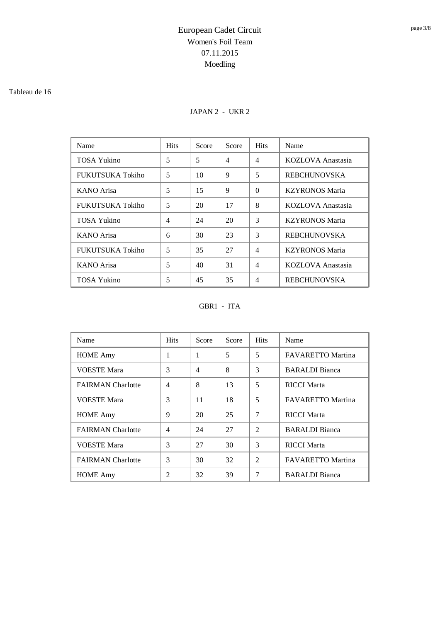#### Tableau de 16

### JAPAN 2 - UKR 2

| Name                    | <b>Hits</b>    | Score | Score | <b>Hits</b>    | Name                  |
|-------------------------|----------------|-------|-------|----------------|-----------------------|
| <b>TOSA Yukino</b>      | 5              | 5     | 4     | $\overline{4}$ | KOZLOVA Anastasia     |
| <b>FUKUTSUKA Tokiho</b> | 5              | 10    | 9     | 5              | <b>REBCHUNOVSKA</b>   |
| <b>KANO</b> Arisa       | 5              | 15    | 9     | $\Omega$       | <b>KZYRONOS Maria</b> |
| FUKUTSUKA Tokiho        | 5              | 20    | 17    | 8              | KOZLOVA Anastasia     |
| <b>TOSA Yukino</b>      | $\overline{4}$ | 24    | 20    | 3              | <b>KZYRONOS Maria</b> |
| <b>KANO</b> Arisa       | 6              | 30    | 23    | 3              | <b>REBCHUNOVSKA</b>   |
| FUKUTSUKA Tokiho        | 5              | 35    | 27    | $\overline{4}$ | <b>KZYRONOS Maria</b> |
| <b>KANO</b> Arisa       | 5              | 40    | 31    | $\overline{4}$ | KOZLOVA Anastasia     |
| TOSA Yukino             | 5              | 45    | 35    | 4              | <b>REBCHUNOVSKA</b>   |

GBR1 - ITA

| Name                     | <b>Hits</b>    | Score          | Score | <b>Hits</b>    | Name                     |
|--------------------------|----------------|----------------|-------|----------------|--------------------------|
| <b>HOME</b> Amy          | 1              | 1              | 5     | 5              | FAVARETTO Martina        |
| <b>VOESTE Mara</b>       | 3              | $\overline{4}$ | 8     | 3              | <b>BARALDI</b> Bianca    |
| <b>FAIRMAN</b> Charlotte | $\overline{4}$ | 8              | 13    | 5              | <b>RICCI</b> Marta       |
| <b>VOESTE Mara</b>       | 3              | 11             | 18    | 5              | <b>FAVARETTO Martina</b> |
| <b>HOME</b> Amy          | 9              | 20             | 25    | 7              | <b>RICCI Marta</b>       |
| <b>FAIRMAN</b> Charlotte | $\overline{4}$ | 24             | 27    | $\mathfrak{D}$ | <b>BARALDI</b> Bianca    |
| <b>VOESTE Mara</b>       | 3              | 27             | 30    | 3              | <b>RICCI</b> Marta       |
| <b>FAIRMAN</b> Charlotte | 3              | 30             | 32    | $\overline{2}$ | <b>FAVARETTO Martina</b> |
| <b>HOME Amy</b>          | 2              | 32             | 39    | 7              | <b>BARALDI</b> Bianca    |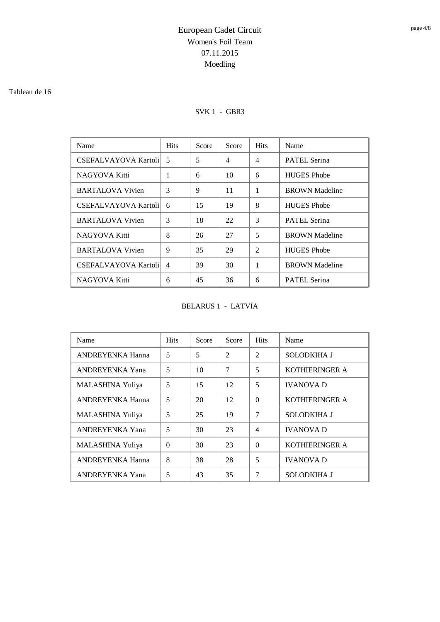#### Tableau de 16

### SVK 1 - GBR3

| Name                        | <b>Hits</b>    | Score | Score          | <b>Hits</b>    | Name                  |
|-----------------------------|----------------|-------|----------------|----------------|-----------------------|
| <b>CSEFALVAYOVA Kartoli</b> | 5              | 5     | $\overline{4}$ | $\overline{4}$ | <b>PATEL Serina</b>   |
| NAGYOVA Kitti               | 1              | 6     | 10             | 6              | <b>HUGES</b> Phobe    |
| <b>BARTALOVA Vivien</b>     | 3              | 9     | 11             | 1              | <b>BROWN</b> Madeline |
| <b>CSEFALVAYOVA Kartoli</b> | 6              | 15    | 19             | 8              | <b>HUGES</b> Phobe    |
| <b>BARTALOVA Vivien</b>     | 3              | 18    | 22             | 3              | <b>PATEL Serina</b>   |
| NAGYOVA Kitti               | 8              | 26    | 27             | 5              | <b>BROWN</b> Madeline |
| <b>BARTALOVA Vivien</b>     | 9              | 35    | 29             | $\overline{2}$ | <b>HUGES</b> Phobe    |
| <b>CSEFALVAYOVA Kartoli</b> | $\overline{4}$ | 39    | 30             | 1              | <b>BROWN</b> Madeline |
| NAGYOVA Kitti               | 6              | 45    | 36             | 6              | <b>PATEL Serina</b>   |

BELARUS 1 - LATVIA

| Name                    | <b>Hits</b> | Score | Score          | <b>Hits</b>    | Name                  |
|-------------------------|-------------|-------|----------------|----------------|-----------------------|
| <b>ANDREYENKA Hanna</b> | 5           | 5     | $\overline{2}$ | $\overline{2}$ | <b>SOLODKIHA J</b>    |
| <b>ANDREYENKA Yana</b>  | 5           | 10    | 7              | 5              | <b>KOTHIERINGER A</b> |
| <b>MALASHINA Yuliya</b> | 5           | 15    | 12             | 5              | <b>IVANOVA D</b>      |
| <b>ANDREYENKA Hanna</b> | 5           | 20    | 12             | $\Omega$       | <b>KOTHIERINGER A</b> |
| MALASHINA Yuliya        | 5           | 25    | 19             | 7              | <b>SOLODKIHA J</b>    |
| <b>ANDREYENKA Yana</b>  | 5           | 30    | 23             | $\overline{4}$ | <b>IVANOVA D</b>      |
| MALASHINA Yuliya        | $\Omega$    | 30    | 23             | $\Omega$       | <b>KOTHIERINGER A</b> |
| <b>ANDREYENKA Hanna</b> | 8           | 38    | 28             | 5              | <b>IVANOVA D</b>      |
| <b>ANDREYENKA Yana</b>  | 5           | 43    | 35             | 7              | SOLODKIHA J           |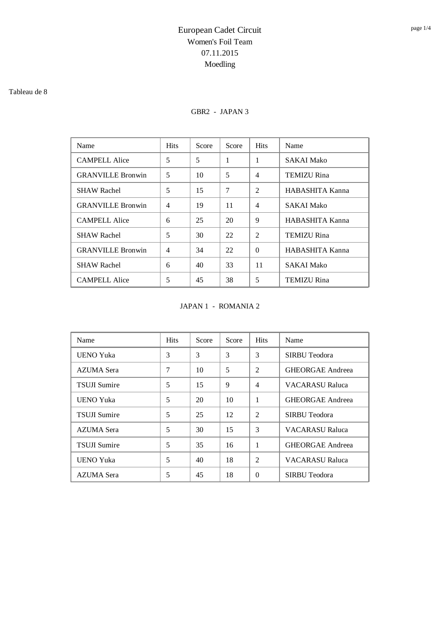#### Tableau de 8

### GBR2 - JAPAN 3

| Name                     | <b>Hits</b>    | Score | Score | <b>Hits</b>    | Name               |
|--------------------------|----------------|-------|-------|----------------|--------------------|
| <b>CAMPELL Alice</b>     | 5              | 5     | 1     | 1              | SAKAI Mako         |
| <b>GRANVILLE Bronwin</b> | 5              | 10    | 5     | $\overline{4}$ | <b>TEMIZU Rina</b> |
| <b>SHAW Rachel</b>       | 5              | 15    | 7     | 2              | HABASHITA Kanna    |
| <b>GRANVILLE Bronwin</b> | 4              | 19    | 11    | $\overline{4}$ | SAKAI Mako         |
| <b>CAMPELL Alice</b>     | 6              | 25    | 20    | 9              | HABASHITA Kanna    |
| <b>SHAW Rachel</b>       | 5              | 30    | 22    | $\overline{2}$ | TEMIZU Rina        |
| <b>GRANVILLE Bronwin</b> | $\overline{4}$ | 34    | 22    | $\Omega$       | HABASHITA Kanna    |
| <b>SHAW Rachel</b>       | 6              | 40    | 33    | 11             | <b>SAKAI Mako</b>  |
| <b>CAMPELL Alice</b>     | 5              | 45    | 38    | 5              | TEMIZU Rina        |

JAPAN 1 - ROMANIA 2

| Name                | <b>Hits</b> | Score | Score | <b>Hits</b>    | Name                    |
|---------------------|-------------|-------|-------|----------------|-------------------------|
| <b>UENO Yuka</b>    | 3           | 3     | 3     | 3              | SIRBU Teodora           |
| <b>AZUMA</b> Sera   | 7           | 10    | 5     | $\overline{2}$ | <b>GHEORGAE Andreea</b> |
| <b>TSUJI Sumire</b> | 5           | 15    | 9     | $\overline{4}$ | VACARASU Raluca         |
| UENO Yuka           | 5           | 20    | 10    | 1              | <b>GHEORGAE Andreea</b> |
| <b>TSUJI Sumire</b> | 5           | 25    | 12    | $\overline{2}$ | SIRBU Teodora           |
| AZUMA Sera          | 5           | 30    | 15    | 3              | <b>VACARASU Raluca</b>  |
| <b>TSUJI Sumire</b> | 5           | 35    | 16    | 1              | <b>GHEORGAE Andreea</b> |
| <b>UENO Yuka</b>    | 5           | 40    | 18    | $\overline{2}$ | VACARASU Raluca         |
| <b>AZUMA</b> Sera   | 5           | 45    | 18    | $\Omega$       | SIRBU Teodora           |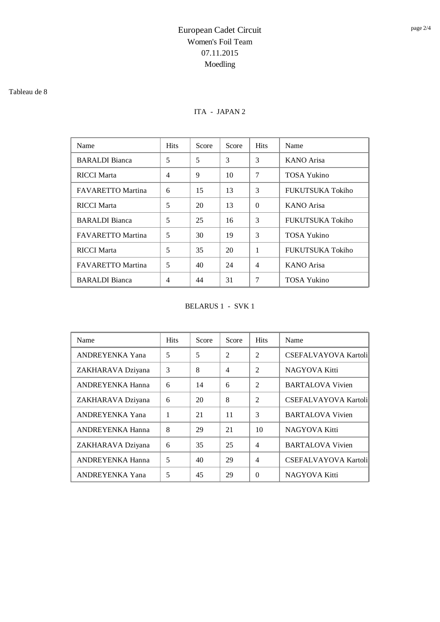#### Tableau de 8

### ITA - JAPAN 2

| Name                     | <b>Hits</b>    | Score | Score | <b>Hits</b>    | Name                    |
|--------------------------|----------------|-------|-------|----------------|-------------------------|
| <b>BARALDI</b> Bianca    | 5              | 5     | 3     | 3              | <b>KANO</b> Arisa       |
| <b>RICCI Marta</b>       | $\overline{4}$ | 9     | 10    | 7              | <b>TOSA Yukino</b>      |
| <b>FAVARETTO Martina</b> | 6              | 15    | 13    | 3              | <b>FUKUTSUKA Tokiho</b> |
| <b>RICCI Marta</b>       | 5              | 20    | 13    | $\Omega$       | <b>KANO</b> Arisa       |
| <b>BARALDI</b> Bianca    | 5              | 25    | 16    | 3              | <b>FUKUTSUKA Tokiho</b> |
| <b>FAVARETTO Martina</b> | 5              | 30    | 19    | 3              | TOSA Yukino             |
| <b>RICCI</b> Marta       | 5              | 35    | 20    | 1              | <b>FUKUTSUKA Tokiho</b> |
| <b>FAVARETTO Martina</b> | 5              | 40    | 24    | $\overline{4}$ | <b>KANO</b> Arisa       |
| <b>BARALDI</b> Bianca    | 4              | 44    | 31    | 7              | TOSA Yukino             |

BELARUS 1 - SVK 1

| Name                    | <b>Hits</b> | Score | Score          | <b>Hits</b>    | Name                        |
|-------------------------|-------------|-------|----------------|----------------|-----------------------------|
| <b>ANDREYENKA Yana</b>  | 5           | 5     | $\overline{2}$ | $\overline{2}$ | <b>CSEFALVAYOVA Kartoli</b> |
| ZAKHARAVA Dziyana       | 3           | 8     | 4              | $\overline{2}$ | <b>NAGYOVA Kitti</b>        |
| <b>ANDREYENKA Hanna</b> | 6           | 14    | 6              | $\mathfrak{D}$ | <b>BARTALOVA Vivien</b>     |
| ZAKHARAVA Dziyana       | 6           | 20    | 8              | $\mathfrak{D}$ | <b>CSEFALVAYOVA Kartoli</b> |
| <b>ANDREYENKA Yana</b>  | 1           | 21    | 11             | 3              | <b>BARTALOVA Vivien</b>     |
| <b>ANDREYENKA Hanna</b> | 8           | 29    | 21             | 10             | NAGYOVA Kitti               |
| ZAKHARAVA Dziyana       | 6           | 35    | 25             | $\overline{4}$ | <b>BARTALOVA Vivien</b>     |
| ANDREYENKA Hanna        | 5           | 40    | 29             | $\overline{4}$ | <b>CSEFALVAYOVA Kartoli</b> |
| <b>ANDREYENKA Yana</b>  | 5           | 45    | 29             | $\Omega$       | NAGYOVA Kitti               |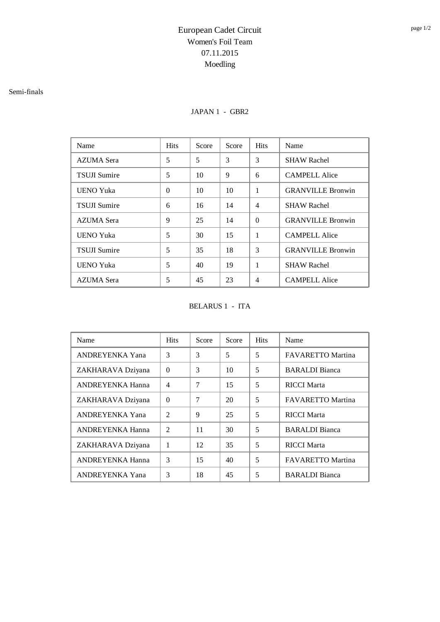### Semi-finals

### JAPAN 1 - GBR2

| Name                | <b>Hits</b> | Score | Score | <b>Hits</b>    | Name                     |
|---------------------|-------------|-------|-------|----------------|--------------------------|
| <b>AZUMA</b> Sera   | 5           | 5     | 3     | 3              | <b>SHAW Rachel</b>       |
| <b>TSUJI Sumire</b> | 5           | 10    | 9     | 6              | <b>CAMPELL Alice</b>     |
| UENO Yuka           | $\theta$    | 10    | 10    | $\mathbf{1}$   | <b>GRANVILLE Bronwin</b> |
| <b>TSUJI Sumire</b> | 6           | 16    | 14    | $\overline{4}$ | <b>SHAW Rachel</b>       |
| AZUMA Sera          | 9           | 25    | 14    | $\Omega$       | <b>GRANVILLE Bronwin</b> |
| UENO Yuka           | 5           | 30    | 15    | $\mathbf{1}$   | <b>CAMPELL Alice</b>     |
| <b>TSUJI Sumire</b> | 5           | 35    | 18    | 3              | <b>GRANVILLE Bronwin</b> |
| <b>UENO Yuka</b>    | 5           | 40    | 19    | 1              | <b>SHAW Rachel</b>       |
| <b>AZUMA</b> Sera   | 5           | 45    | 23    | $\overline{4}$ | <b>CAMPELL Alice</b>     |

BELARUS 1 - ITA

| Name                    | <b>Hits</b>    | Score | Score | <b>Hits</b> | Name                     |
|-------------------------|----------------|-------|-------|-------------|--------------------------|
| <b>ANDREYENKA Yana</b>  | 3              | 3     | 5     | 5           | <b>FAVARETTO Martina</b> |
| ZAKHARAVA Dziyana       | $\Omega$       | 3     | 10    | 5           | <b>BARALDI</b> Bianca    |
| <b>ANDREYENKA Hanna</b> | 4              | 7     | 15    | 5           | <b>RICCI Marta</b>       |
| ZAKHARAVA Dziyana       | $\Omega$       | 7     | 20    | 5           | <b>FAVARETTO Martina</b> |
| <b>ANDREYENKA Yana</b>  | $\overline{2}$ | 9     | 25    | 5           | <b>RICCI Marta</b>       |
| <b>ANDREYENKA Hanna</b> | $\mathfrak{D}$ | 11    | 30    | 5           | <b>BARALDI</b> Bianca    |
| ZAKHARAVA Dziyana       | 1              | 12    | 35    | 5           | <b>RICCI</b> Marta       |
| <b>ANDREYENKA Hanna</b> | 3              | 15    | 40    | 5           | <b>FAVARETTO Martina</b> |
| <b>ANDREYENKA Yana</b>  | 3              | 18    | 45    | 5           | <b>BARALDI</b> Bianca    |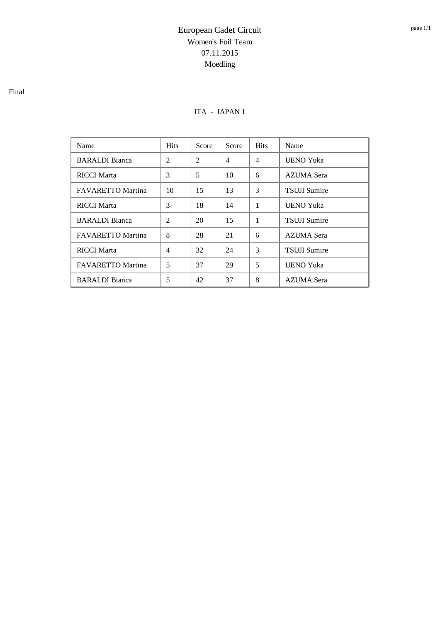### ITA - JAPAN 1

| Name                     | <b>Hits</b>    | Score | Score | <b>Hits</b>    | Name                |
|--------------------------|----------------|-------|-------|----------------|---------------------|
| <b>BARALDI</b> Bianca    | $\overline{2}$ | 2     | 4     | $\overline{4}$ | <b>UENO Yuka</b>    |
| <b>RICCI</b> Marta       | 3              | 5     | 10    | 6              | AZUMA Sera          |
| <b>FAVARETTO Martina</b> | 10             | 15    | 13    | 3              | <b>TSUJI Sumire</b> |
| <b>RICCI Marta</b>       | 3              | 18    | 14    | 1              | <b>UENO Yuka</b>    |
| <b>BARALDI</b> Bianca    | $\mathfrak{D}$ | 20    | 15    | 1              | <b>TSUJI Sumire</b> |
| <b>FAVARETTO Martina</b> | 8              | 28    | 21    | 6              | <b>AZUMA</b> Sera   |
| <b>RICCI Marta</b>       | $\overline{4}$ | 32    | 24    | 3              | <b>TSUJI Sumire</b> |
| <b>FAVARETTO Martina</b> | 5              | 37    | 29    | 5              | <b>UENO Yuka</b>    |
| <b>BARALDI</b> Bianca    | 5              | 42    | 37    | 8              | AZUMA Sera          |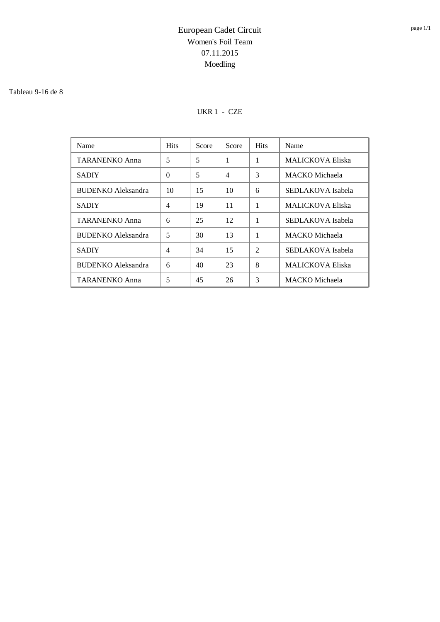#### Tableau 9-16 de 8

### UKR 1 - CZE

| Name                      | <b>Hits</b>    | Score | Score          | <b>Hits</b>    | Name                    |
|---------------------------|----------------|-------|----------------|----------------|-------------------------|
| <b>TARANENKO Anna</b>     | 5              | 5     | 1              | 1              | <b>MALICKOVA Eliska</b> |
| <b>SADIY</b>              | $\Omega$       | 5     | $\overline{4}$ | 3              | MACKO Michaela          |
| <b>BUDENKO</b> Aleksandra | 10             | 15    | 10             | 6              | SEDLAKOVA Isabela       |
| <b>SADIY</b>              | $\overline{4}$ | 19    | 11             | 1              | <b>MALICKOVA Eliska</b> |
| <b>TARANENKO Anna</b>     | 6              | 25    | 12             |                | SEDLAKOVA Isabela       |
| <b>BUDENKO</b> Aleksandra | 5              | 30    | 13             | 1              | MACKO Michaela          |
| <b>SADIY</b>              | $\overline{4}$ | 34    | 15             | $\mathfrak{D}$ | SEDLAKOVA Isabela       |
| <b>BUDENKO</b> Aleksandra | 6              | 40    | 23             | 8              | <b>MALICKOVA Eliska</b> |
| TARANENKO Anna            | 5              | 45    | 26             | 3              | MACKO Michaela          |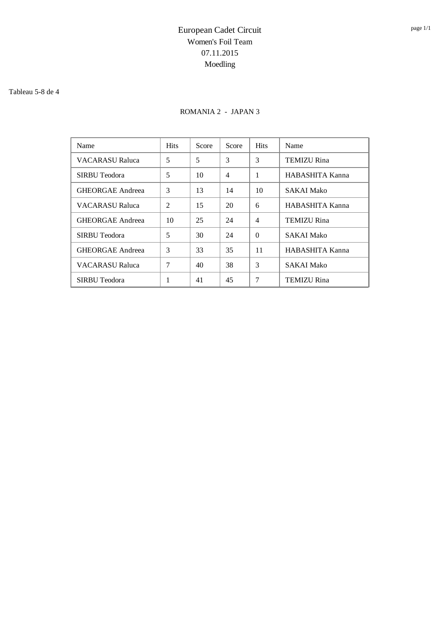#### Tableau 5-8 de 4

### ROMANIA 2 - JAPAN 3

| Name                    | <b>Hits</b>    | Score | Score | <b>Hits</b>    | Name               |
|-------------------------|----------------|-------|-------|----------------|--------------------|
| <b>VACARASU Raluca</b>  | 5              | 5     | 3     | 3              | <b>TEMIZU Rina</b> |
| SIRBU Teodora           | 5              | 10    | 4     | 1              | HABASHITA Kanna    |
| <b>GHEORGAE Andreea</b> | 3              | 13    | 14    | 10             | <b>SAKAI Mako</b>  |
| <b>VACARASU Raluca</b>  | $\overline{2}$ | 15    | 20    | 6              | HABASHITA Kanna    |
| <b>GHEORGAE Andreea</b> | 10             | 25    | 24    | $\overline{4}$ | <b>TEMIZU Rina</b> |
| SIRBU Teodora           | 5              | 30    | 24    | $\Omega$       | <b>SAKAI Mako</b>  |
| <b>GHEORGAE Andreea</b> | 3              | 33    | 35    | 11             | HABASHITA Kanna    |
| <b>VACARASU Raluca</b>  | 7              | 40    | 38    | 3              | <b>SAKAI Mako</b>  |
| SIRBU Teodora           | 1              | 41    | 45    | 7              | <b>TEMIZU Rina</b> |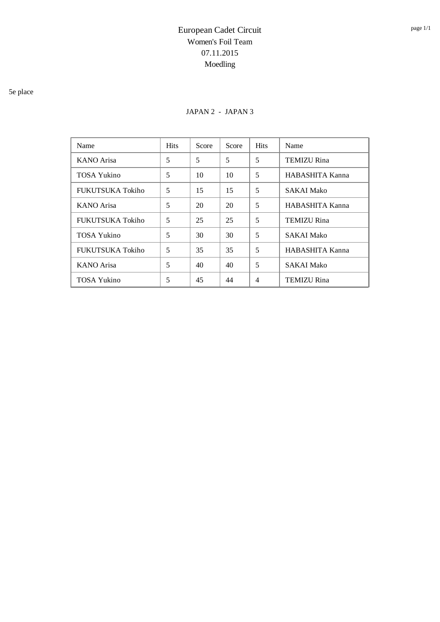### 5e place

### JAPAN 2 - JAPAN 3

| Name                    | <b>Hits</b> | Score | Score | <b>Hits</b>    | Name               |
|-------------------------|-------------|-------|-------|----------------|--------------------|
| KANO Arisa              | 5           | 5     | 5     | 5              | <b>TEMIZU Rina</b> |
| TOSA Yukino             | 5           | 10    | 10    | 5              | HABASHITA Kanna    |
| <b>FUKUTSUKA Tokiho</b> | 5           | 15    | 15    | 5              | <b>SAKAI Mako</b>  |
| <b>KANO</b> Arisa       | 5           | 20    | 20    | 5              | HABASHITA Kanna    |
| <b>FUKUTSUKA Tokiho</b> | 5           | 25    | 25    | 5              | <b>TEMIZU Rina</b> |
| <b>TOSA Yukino</b>      | 5           | 30    | 30    | 5              | <b>SAKAI Mako</b>  |
| <b>FUKUTSUKA Tokiho</b> | 5           | 35    | 35    | 5              | HABASHITA Kanna    |
| <b>KANO</b> Arisa       | 5           | 40    | 40    | 5              | <b>SAKAI Mako</b>  |
| TOSA Yukino             | 5           | 45    | 44    | $\overline{4}$ | <b>TEMIZU Rina</b> |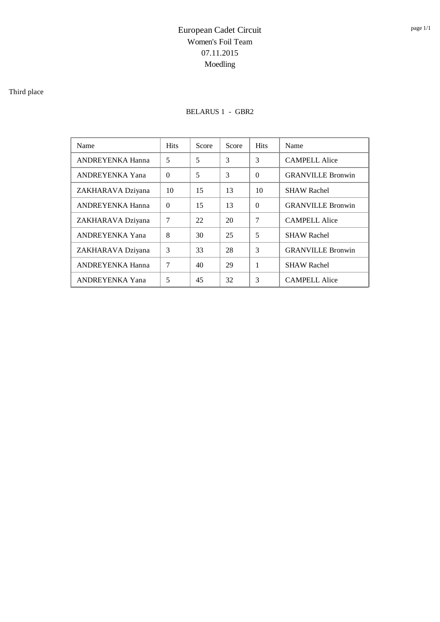### Third place

### BELARUS 1 - GBR2

| Name                    | <b>Hits</b> | Score | Score | <b>Hits</b> | Name                     |
|-------------------------|-------------|-------|-------|-------------|--------------------------|
| ANDREYENKA Hanna        | 5           | 5     | 3     | 3           | <b>CAMPELL Alice</b>     |
| ANDREYENKA Yana         | $\Omega$    | 5     | 3     | $\Omega$    | <b>GRANVILLE Bronwin</b> |
| ZAKHARAVA Dziyana       | 10          | 15    | 13    | 10          | <b>SHAW Rachel</b>       |
| <b>ANDREYENKA Hanna</b> | $\Omega$    | 15    | 13    | $\Omega$    | <b>GRANVILLE Bronwin</b> |
| ZAKHARAVA Dziyana       | 7           | 22    | 20    | 7           | <b>CAMPELL Alice</b>     |
| <b>ANDREYENKA Yana</b>  | 8           | 30    | 25    | 5           | <b>SHAW Rachel</b>       |
| ZAKHARAVA Dziyana       | 3           | 33    | 28    | 3           | <b>GRANVILLE Bronwin</b> |
| <b>ANDREYENKA Hanna</b> | 7           | 40    | 29    | 1           | <b>SHAW Rachel</b>       |
| ANDREYENKA Yana         | 5           | 45    | 32    | 3           | <b>CAMPELL Alice</b>     |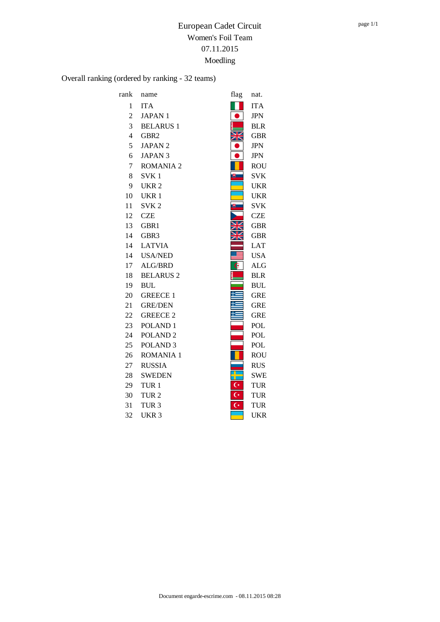Overall ranking (ordered by ranking - 32 teams)

| rank           | name                | flag           | nat.       |
|----------------|---------------------|----------------|------------|
| 1              | <b>ITA</b>          |                | <b>ITA</b> |
| $\overline{2}$ | <b>JAPAN1</b>       |                | <b>JPN</b> |
| 3              | <b>BELARUS 1</b>    |                | <b>BLR</b> |
| $\overline{4}$ | GBR <sub>2</sub>    |                | <b>GBR</b> |
| 5              | <b>JAPAN2</b>       |                | <b>JPN</b> |
| 6              | <b>JAPAN 3</b>      |                | <b>JPN</b> |
| $\overline{7}$ | <b>ROMANIA 2</b>    |                | <b>ROU</b> |
| 8              | SVK <sub>1</sub>    | 脚              | <b>SVK</b> |
| 9              | UKR <sub>2</sub>    |                | <b>UKR</b> |
| 10             | UKR <sub>1</sub>    |                | <b>UKR</b> |
| 11             | SVK <sub>2</sub>    | U.             | <b>SVK</b> |
| 12             | <b>CZE</b>          |                | <b>CZE</b> |
| 13             | GBR1                |                | <b>GBR</b> |
| 14             | GBR <sub>3</sub>    |                | GBR        |
| 14             | <b>LATVIA</b>       |                | <b>LAT</b> |
| 14             | <b>USA/NED</b>      |                | <b>USA</b> |
| 17             | ALG/BRD             | G              | <b>ALG</b> |
| 18             | <b>BELARUS 2</b>    |                | <b>BLR</b> |
| 19             | <b>BUL</b>          |                | <b>BUL</b> |
| 20             | <b>GREECE 1</b>     |                | <b>GRE</b> |
| 21             | <b>GRE/DEN</b>      |                | <b>GRE</b> |
| 22             | <b>GREECE 2</b>     |                | <b>GRE</b> |
| 23             | POLAND <sub>1</sub> |                | POL        |
| 24             | POLAND <sub>2</sub> |                | <b>POL</b> |
| 25             | POLAND <sub>3</sub> |                | POL        |
| 26             | <b>ROMANIA 1</b>    |                | <b>ROU</b> |
| 27             | <b>RUSSIA</b>       |                | <b>RUS</b> |
| 28             | <b>SWEDEN</b>       |                | <b>SWE</b> |
| 29             | TUR <sub>1</sub>    | $\mathsf{C}^*$ | <b>TUR</b> |
| 30             | TUR <sub>2</sub>    | $\mathsf{C}^*$ | TUR        |
| 31             | TUR <sub>3</sub>    | $\overline{C}$ | <b>TUR</b> |
| 32             | UKR <sub>3</sub>    |                | UKR        |